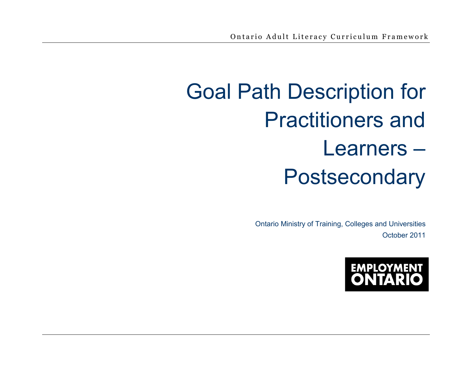# Goal Path Description for Practitioners and Learners – Postsecondary

Ontario Ministry of Training, Colleges and Universities October 2011

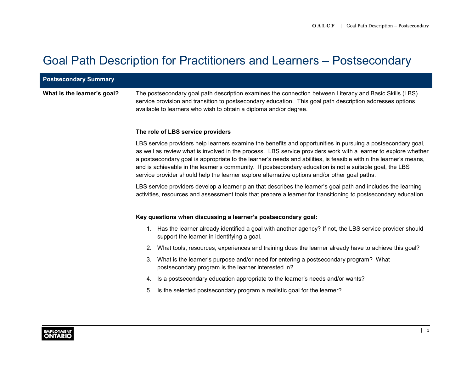# Goal Path Description for Practitioners and Learners – Postsecondary

| <b>Postsecondary Summary</b> |                                                                                                                                                                                                                                                                                                                                                                                                                                                                                                                                                                   |  |  |  |  |
|------------------------------|-------------------------------------------------------------------------------------------------------------------------------------------------------------------------------------------------------------------------------------------------------------------------------------------------------------------------------------------------------------------------------------------------------------------------------------------------------------------------------------------------------------------------------------------------------------------|--|--|--|--|
| What is the learner's goal?  | The postsecondary goal path description examines the connection between Literacy and Basic Skills (LBS)<br>service provision and transition to postsecondary education. This goal path description addresses options<br>available to learners who wish to obtain a diploma and/or degree.                                                                                                                                                                                                                                                                         |  |  |  |  |
|                              | The role of LBS service providers                                                                                                                                                                                                                                                                                                                                                                                                                                                                                                                                 |  |  |  |  |
|                              | LBS service providers help learners examine the benefits and opportunities in pursuing a postsecondary goal,<br>as well as review what is involved in the process. LBS service providers work with a learner to explore whether<br>a postsecondary goal is appropriate to the learner's needs and abilities, is feasible within the learner's means,<br>and is achievable in the learner's community. If postsecondary education is not a suitable goal, the LBS<br>service provider should help the learner explore alternative options and/or other goal paths. |  |  |  |  |
|                              | LBS service providers develop a learner plan that describes the learner's goal path and includes the learning<br>activities, resources and assessment tools that prepare a learner for transitioning to postsecondary education.                                                                                                                                                                                                                                                                                                                                  |  |  |  |  |
|                              | Key questions when discussing a learner's postsecondary goal:                                                                                                                                                                                                                                                                                                                                                                                                                                                                                                     |  |  |  |  |
|                              | 1. Has the learner already identified a goal with another agency? If not, the LBS service provider should<br>support the learner in identifying a goal.                                                                                                                                                                                                                                                                                                                                                                                                           |  |  |  |  |
|                              | What tools, resources, experiences and training does the learner already have to achieve this goal?<br>2.                                                                                                                                                                                                                                                                                                                                                                                                                                                         |  |  |  |  |
|                              | 3. What is the learner's purpose and/or need for entering a postsecondary program? What<br>postsecondary program is the learner interested in?                                                                                                                                                                                                                                                                                                                                                                                                                    |  |  |  |  |
|                              | Is a postsecondary education appropriate to the learner's needs and/or wants?<br>4.                                                                                                                                                                                                                                                                                                                                                                                                                                                                               |  |  |  |  |
|                              | Is the selected postsecondary program a realistic goal for the learner?<br>5.                                                                                                                                                                                                                                                                                                                                                                                                                                                                                     |  |  |  |  |
|                              |                                                                                                                                                                                                                                                                                                                                                                                                                                                                                                                                                                   |  |  |  |  |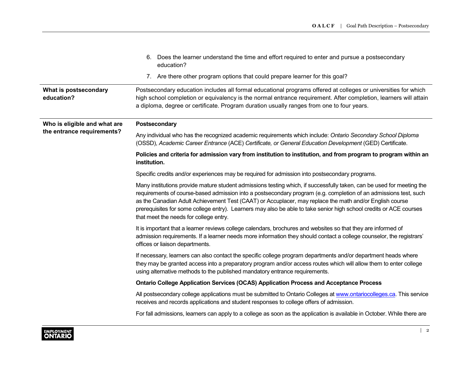|                                                            | 6. Does the learner understand the time and effort required to enter and pursue a postsecondary<br>education?                                                                                                                                                                                                                                                                                                                                                                                                        |
|------------------------------------------------------------|----------------------------------------------------------------------------------------------------------------------------------------------------------------------------------------------------------------------------------------------------------------------------------------------------------------------------------------------------------------------------------------------------------------------------------------------------------------------------------------------------------------------|
|                                                            | 7. Are there other program options that could prepare learner for this goal?                                                                                                                                                                                                                                                                                                                                                                                                                                         |
| What is postsecondary<br>education?                        | Postsecondary education includes all formal educational programs offered at colleges or universities for which<br>high school completion or equivalency is the normal entrance requirement. After completion, learners will attain<br>a diploma, degree or certificate. Program duration usually ranges from one to four years.                                                                                                                                                                                      |
| Who is eligible and what are<br>the entrance requirements? | Postsecondary                                                                                                                                                                                                                                                                                                                                                                                                                                                                                                        |
|                                                            | Any individual who has the recognized academic requirements which include: Ontario Secondary School Diploma<br>(OSSD), Academic Career Entrance (ACE) Certificate, or General Education Development (GED) Certificate.                                                                                                                                                                                                                                                                                               |
|                                                            | Policies and criteria for admission vary from institution to institution, and from program to program within an<br>institution.                                                                                                                                                                                                                                                                                                                                                                                      |
|                                                            | Specific credits and/or experiences may be required for admission into postsecondary programs.                                                                                                                                                                                                                                                                                                                                                                                                                       |
|                                                            | Many institutions provide mature student admissions testing which, if successfully taken, can be used for meeting the<br>requirements of course-based admission into a postsecondary program (e.g. completion of an admissions test, such<br>as the Canadian Adult Achievement Test (CAAT) or Accuplacer, may replace the math and/or English course<br>prerequisites for some college entry). Learners may also be able to take senior high school credits or ACE courses<br>that meet the needs for college entry. |
|                                                            | It is important that a learner reviews college calendars, brochures and websites so that they are informed of<br>admission requirements. If a learner needs more information they should contact a college counselor, the registrars'<br>offices or liaison departments.                                                                                                                                                                                                                                             |
|                                                            | If necessary, learners can also contact the specific college program departments and/or department heads where<br>they may be granted access into a preparatory program and/or access routes which will allow them to enter college<br>using alternative methods to the published mandatory entrance requirements.                                                                                                                                                                                                   |
|                                                            | <b>Ontario College Application Services (OCAS) Application Process and Acceptance Process</b>                                                                                                                                                                                                                                                                                                                                                                                                                        |
|                                                            | All postsecondary college applications must be submitted to Ontario Colleges at www.ontariocolleges.ca. This service<br>receives and records applications and student responses to college offers of admission.                                                                                                                                                                                                                                                                                                      |
|                                                            | For fall admissions, learners can apply to a college as soon as the application is available in October. While there are                                                                                                                                                                                                                                                                                                                                                                                             |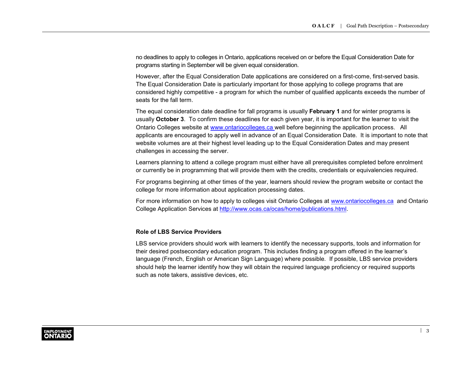no deadlines to apply to colleges in Ontario, applications received on or before the Equal Consideration Date for programs starting in September will be given equal consideration.

However, after the Equal Consideration Date applications are considered on a first-come, first-served basis. The Equal Consideration Date is particularly important for those applying to college programs that are considered highly competitive - a program for which the number of qualified applicants exceeds the number of seats for the fall term.

The equal consideration date deadline for fall programs is usually **February 1** and for winter programs is usually **October 3**. To confirm these deadlines for each given year, it is important for the learner to visit the Ontario Colleges website at [www.ontariocolleges.ca](http://www.ontariocolleges.ca) well before beginning the application process. All applicants are encouraged to apply well in advance of an Equal Consideration Date. It is important to note that website volumes are at their highest level leading up to the Equal Consideration Dates and may present challenges in accessing the server.

Learners planning to attend a college program must either have all prerequisites completed before enrolment or currently be in programming that will provide them with the credits, credentials or equivalencies required.

For programs beginning at other times of the year, learners should review the program website or contact the college for more information about application processing dates.

For more information on how to apply to colleges visit Ontario Colleges at [www.ontariocolleges.ca](http://www.ontariocolleges.ca) and Ontario College Application Services at [http://www.ocas.ca/ocas/home/publications.html.](http://www.ocas.ca/ocas/home/publications.html)

#### **Role of LBS Service Providers**

LBS service providers should work with learners to identify the necessary supports, tools and information for their desired postsecondary education program. This includes finding a program offered in the learner's language (French, English or American Sign Language) where possible. If possible, LBS service providers should help the learner identify how they will obtain the required language proficiency or required supports such as note takers, assistive devices, etc.

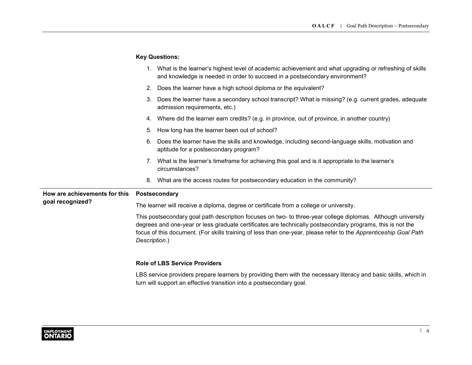# **Key Questions:**

|                                                   |                                                                                                                                                                                                                                                                                                                                                                 | 1. What is the learner's highest level of academic achievement and what upgrading or refreshing of skills<br>and knowledge is needed in order to succeed in a postsecondary environment? |  |  |
|---------------------------------------------------|-----------------------------------------------------------------------------------------------------------------------------------------------------------------------------------------------------------------------------------------------------------------------------------------------------------------------------------------------------------------|------------------------------------------------------------------------------------------------------------------------------------------------------------------------------------------|--|--|
|                                                   | 2.                                                                                                                                                                                                                                                                                                                                                              | Does the learner have a high school diploma or the equivalent?                                                                                                                           |  |  |
|                                                   | 3.                                                                                                                                                                                                                                                                                                                                                              | Does the learner have a secondary school transcript? What is missing? (e.g. current grades, adequate<br>admission requirements, etc.)                                                    |  |  |
|                                                   |                                                                                                                                                                                                                                                                                                                                                                 | 4. Where did the learner earn credits? (e.g. in province, out of province, in another country)                                                                                           |  |  |
|                                                   | 5.                                                                                                                                                                                                                                                                                                                                                              | How long has the learner been out of school?                                                                                                                                             |  |  |
|                                                   | 6.                                                                                                                                                                                                                                                                                                                                                              | Does the learner have the skills and knowledge, including second-language skills, motivation and<br>aptitude for a postsecondary program?                                                |  |  |
|                                                   |                                                                                                                                                                                                                                                                                                                                                                 | 7. What is the learner's timeframe for achieving this goal and is it appropriate to the learner's<br>circumstances?                                                                      |  |  |
|                                                   | 8.                                                                                                                                                                                                                                                                                                                                                              | What are the access routes for postsecondary education in the community?                                                                                                                 |  |  |
| How are achievements for this<br>goal recognized? | Postsecondary                                                                                                                                                                                                                                                                                                                                                   |                                                                                                                                                                                          |  |  |
|                                                   | The learner will receive a diploma, degree or certificate from a college or university.                                                                                                                                                                                                                                                                         |                                                                                                                                                                                          |  |  |
|                                                   | This postsecondary goal path description focuses on two- to three-year college diplomas. Although university<br>degrees and one-year or less graduate certificates are technically postsecondary programs, this is not the<br>focus of this document. (For skills training of less than one-year, please refer to the Apprenticeship Goal Path<br>Description.) |                                                                                                                                                                                          |  |  |
|                                                   | <b>Role of LBS Service Providers</b>                                                                                                                                                                                                                                                                                                                            |                                                                                                                                                                                          |  |  |
|                                                   |                                                                                                                                                                                                                                                                                                                                                                 | LBS service providers prepare learners by providing them with the necessary literacy and basic skills, which in<br>turn will support an effective transition into a postsecondary goal.  |  |  |

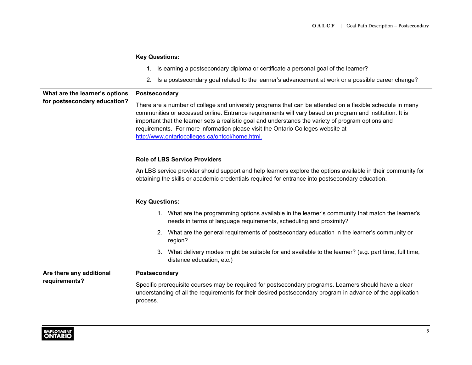|                                                                | <b>Key Questions:</b>                                                                                                                                                                                                                                                                                                                                                                                                                                             |  |  |  |
|----------------------------------------------------------------|-------------------------------------------------------------------------------------------------------------------------------------------------------------------------------------------------------------------------------------------------------------------------------------------------------------------------------------------------------------------------------------------------------------------------------------------------------------------|--|--|--|
|                                                                | Is earning a postsecondary diploma or certificate a personal goal of the learner?<br>1.                                                                                                                                                                                                                                                                                                                                                                           |  |  |  |
|                                                                | Is a postsecondary goal related to the learner's advancement at work or a possible career change?<br>2.                                                                                                                                                                                                                                                                                                                                                           |  |  |  |
| What are the learner's options<br>for postsecondary education? | Postsecondary                                                                                                                                                                                                                                                                                                                                                                                                                                                     |  |  |  |
|                                                                | There are a number of college and university programs that can be attended on a flexible schedule in many<br>communities or accessed online. Entrance requirements will vary based on program and institution. It is<br>important that the learner sets a realistic goal and understands the variety of program options and<br>requirements. For more information please visit the Ontario Colleges website at<br>http://www.ontariocolleges.ca/ontcol/home.html. |  |  |  |
|                                                                | <b>Role of LBS Service Providers</b>                                                                                                                                                                                                                                                                                                                                                                                                                              |  |  |  |
|                                                                | An LBS service provider should support and help learners explore the options available in their community for<br>obtaining the skills or academic credentials required for entrance into postsecondary education.                                                                                                                                                                                                                                                 |  |  |  |
|                                                                | <b>Key Questions:</b>                                                                                                                                                                                                                                                                                                                                                                                                                                             |  |  |  |
|                                                                | 1. What are the programming options available in the learner's community that match the learner's<br>needs in terms of language requirements, scheduling and proximity?                                                                                                                                                                                                                                                                                           |  |  |  |
|                                                                | 2. What are the general requirements of postsecondary education in the learner's community or<br>region?                                                                                                                                                                                                                                                                                                                                                          |  |  |  |
|                                                                | What delivery modes might be suitable for and available to the learner? (e.g. part time, full time,<br>З.<br>distance education, etc.)                                                                                                                                                                                                                                                                                                                            |  |  |  |
| Are there any additional<br>requirements?                      | Postsecondary                                                                                                                                                                                                                                                                                                                                                                                                                                                     |  |  |  |
|                                                                | Specific prerequisite courses may be required for postsecondary programs. Learners should have a clear<br>understanding of all the requirements for their desired postsecondary program in advance of the application<br>process.                                                                                                                                                                                                                                 |  |  |  |

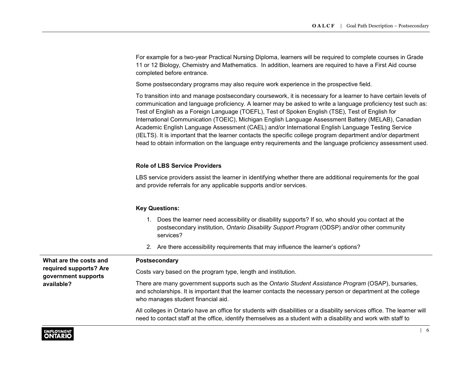For example for a two-year Practical Nursing Diploma, learners will be required to complete courses in Grade 11 or 12 Biology, Chemistry and Mathematics. In addition, learners are required to have a First Aid course completed before entrance.

Some postsecondary programs may also require work experience in the prospective field.

To transition into and manage postsecondary coursework, it is necessary for a learner to have certain levels of communication and language proficiency. A learner may be asked to write a language proficiency test such as: Test of English as a Foreign Language (TOEFL), Test of Spoken English (TSE), Test of English for International Communication (TOEIC), Michigan English Language Assessment Battery (MELAB), Canadian Academic English Language Assessment (CAEL) and/or International English Language Testing Service (IELTS). It is important that the learner contacts the specific college program department and/or department head to obtain information on the language entry requirements and the language proficiency assessment used.

#### **Role of LBS Service Providers**

LBS service providers assist the learner in identifying whether there are additional requirements for the goal and provide referrals for any applicable supports and/or services.

#### **Key Questions:**

- 1. Does the learner need accessibility or disability supports? If so, who should you contact at the postsecondary institution, *Ontario Disability Support Program* (ODSP) and/or other community services?
- 2. Are there accessibility requirements that may influence the learner's options?

| What are the costs and                        | <b>Postsecondary</b>                                                                                                                                                                                                                                        |  |
|-----------------------------------------------|-------------------------------------------------------------------------------------------------------------------------------------------------------------------------------------------------------------------------------------------------------------|--|
| required supports? Are<br>government supports | Costs vary based on the program type, length and institution.                                                                                                                                                                                               |  |
| available?                                    | There are many government supports such as the Ontario Student Assistance Program (OSAP), bursaries,<br>and scholarships. It is important that the learner contacts the necessary person or department at the college<br>who manages student financial aid. |  |
|                                               | All colleges in Ontario have an office for students with disabilities or a disability services office. The learner will<br>need to contact staff at the office, identify themselves as a student with a disability and work with staff to                   |  |

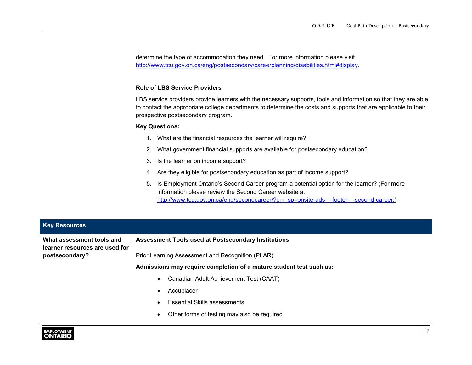determine the type of accommodation they need. For more information please visit <http://www.tcu.gov.on.ca/eng/postsecondary/careerplanning/disabilities.html#display>.

#### **Role of LBS Service Providers**

LBS service providers provide learners with the necessary supports, tools and information so that they are able to contact the appropriate college departments to determine the costs and supports that are applicable to their prospective postsecondary program.

#### **Key Questions:**

- 1. What are the financial resources the learner will require?
- 2. What government financial supports are available for postsecondary education?
- 3. Is the learner on income support?
- 4. Are they eligible for postsecondary education as part of income support?
- 5. Is Employment Ontario's Second Career program a potential option for the learner? (For more information please review the Second Career website at [http://www.tcu.gov.on.ca/eng/secondcareer/?cm\\_sp=onsite-ads-\\_-footer-\\_-second-career](http://www.tcu.gov.on.ca/eng/secondcareer/?cm_sp=onsite-ads-_-footer-_-second-career).)

| <b>Key Resources</b>                                                          |                                                                     |  |
|-------------------------------------------------------------------------------|---------------------------------------------------------------------|--|
| What assessment tools and<br>learner resources are used for<br>postsecondary? | <b>Assessment Tools used at Postsecondary Institutions</b>          |  |
|                                                                               | Prior Learning Assessment and Recognition (PLAR)                    |  |
|                                                                               | Admissions may require completion of a mature student test such as: |  |
|                                                                               | Canadian Adult Achievement Test (CAAT)<br>$\bullet$                 |  |
|                                                                               | Accuplacer<br>$\bullet$                                             |  |
|                                                                               | <b>Essential Skills assessments</b><br>$\bullet$                    |  |
|                                                                               | Other forms of testing may also be required<br>$\bullet$            |  |

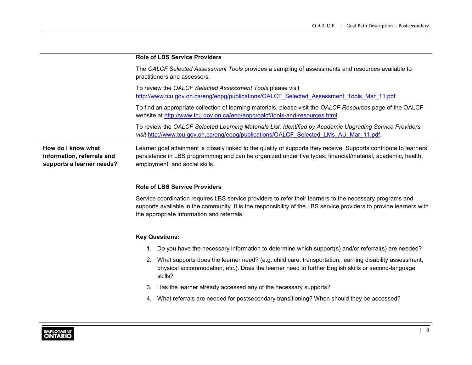|                                                                               | <b>Role of LBS Service Providers</b>                                                                                                                                                                                                                                           |  |  |  |
|-------------------------------------------------------------------------------|--------------------------------------------------------------------------------------------------------------------------------------------------------------------------------------------------------------------------------------------------------------------------------|--|--|--|
|                                                                               | The OALCF Selected Assessment Tools provides a sampling of assessments and resources available to<br>practitioners and assessors.                                                                                                                                              |  |  |  |
|                                                                               | To review the OALCF Selected Assessment Tools please visit<br>http://www.tcu.gov.on.ca/eng/eopg/publications/OALCF Selected Assessment Tools Mar 11.pdf                                                                                                                        |  |  |  |
|                                                                               | To find an appropriate collection of learning materials, please visit the OALCF Resources page of the OALCF<br>website at http://www.tcu.gov.on.ca/eng/eopg/oalcf/tools-and-resources.html.                                                                                    |  |  |  |
|                                                                               | To review the OALCF Selected Learning Materials List: Identified by Academic Upgrading Service Providers<br>visit http://www.tcu.gov.on.ca/eng/eopg/publications/OALCF Selected LMs AU Mar 11.pdf.                                                                             |  |  |  |
| How do I know what<br>information, referrals and<br>supports a learner needs? | Learner goal attainment is closely linked to the quality of supports they receive. Supports contribute to learners'<br>persistence in LBS programming and can be organized under five types: financial/material, academic, health,<br>employment, and social skills.           |  |  |  |
|                                                                               | <b>Role of LBS Service Providers</b>                                                                                                                                                                                                                                           |  |  |  |
|                                                                               | Service coordination requires LBS service providers to refer their learners to the necessary programs and<br>supports available in the community. It is the responsibility of the LBS service providers to provide learners with<br>the appropriate information and referrals. |  |  |  |
|                                                                               | <b>Key Questions:</b>                                                                                                                                                                                                                                                          |  |  |  |
|                                                                               | Do you have the necessary information to determine which support(s) and/or referral(s) are needed?<br>1.                                                                                                                                                                       |  |  |  |
|                                                                               | 2. What supports does the learner need? (e.g. child care, transportation, learning disability assessment,<br>physical accommodation, etc.). Does the learner need to further English skills or second-language<br>skills?                                                      |  |  |  |
|                                                                               | Has the learner already accessed any of the necessary supports?<br>3.                                                                                                                                                                                                          |  |  |  |
|                                                                               | What referrals are needed for postsecondary transitioning? When should they be accessed?<br>4.                                                                                                                                                                                 |  |  |  |
|                                                                               |                                                                                                                                                                                                                                                                                |  |  |  |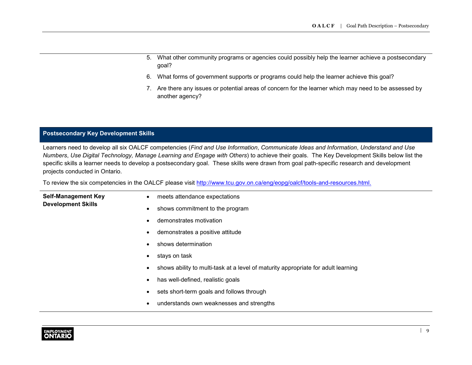- 5. What other community programs or agencies could possibly help the learner achieve a postsecondary goal?
- 6. What forms of government supports or programs could help the learner achieve this goal?
- 7. Are there any issues or potential areas of concern for the learner which may need to be assessed by another agency?

### **Postsecondary Key Development Skills**

Learners need to develop all six OALCF competencies (*Find and Use Information*, *Communicate Ideas and Information*, *Understand and Use Numbers*, *Use Digital Technology, Manage Learning and Engage with Others*) to achieve their goals. The Key Development Skills below list the specific skills a learner needs to develop a postsecondary goal. These skills were drawn from goal path-specific research and development projects conducted in Ontario.

To review the six competencies in the OALCF please visit <http://www.tcu.gov.on.ca/eng/eopg/oalcf/tools-and-resources.html>.

| <b>Self-Management Key</b> | $\bullet$ | meets attendance expectations                                                     |
|----------------------------|-----------|-----------------------------------------------------------------------------------|
| <b>Development Skills</b>  |           | shows commitment to the program                                                   |
|                            |           | demonstrates motivation                                                           |
|                            |           | demonstrates a positive attitude                                                  |
|                            |           | shows determination                                                               |
|                            |           | stays on task                                                                     |
|                            |           | shows ability to multi-task at a level of maturity appropriate for adult learning |
|                            |           | has well-defined, realistic goals                                                 |
|                            |           | sets short-term goals and follows through                                         |
|                            |           | understands own weaknesses and strengths                                          |
|                            |           |                                                                                   |

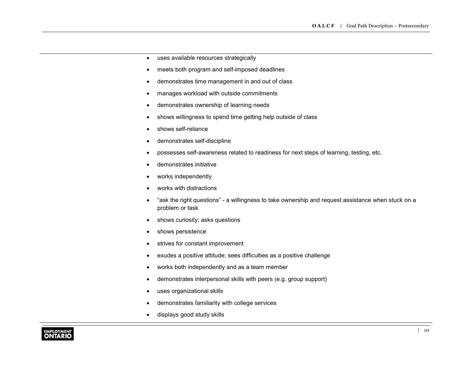- uses available resources strategically
- meets both program and self-imposed deadlines
- demonstrates time management in and out of class
- manages workload with outside commitments
- demonstrates ownership of learning needs
- shows willingness to spend time getting help outside of class
- shows self-reliance
- demonstrates self-discipline
- possesses self-awareness related to readiness for next steps of learning, testing, etc.
- demonstrates initiative
- works independently
- works with distractions
- "ask the right questions" a willingness to take ownership and request assistance when stuck on a problem or task
- shows curiosity; asks questions
- shows persistence
- strives for constant improvement
- exudes a positive attitude; sees difficulties as a positive challenge
- works both independently and as a team member
- demonstrates interpersonal skills with peers (e.g. group support)
- uses organizational skills
- demonstrates familiarity with college services
- displays good study skills

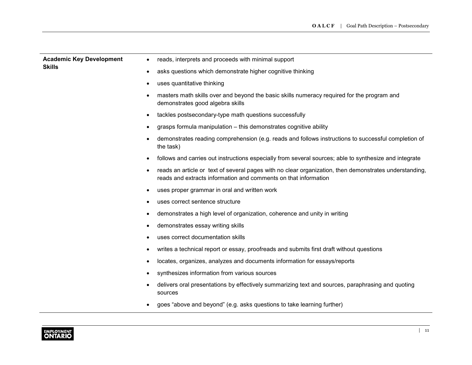| <b>Academic Key Development</b> | reads, interprets and proceeds with minimal support<br>$\bullet$                                                                                                                       |
|---------------------------------|----------------------------------------------------------------------------------------------------------------------------------------------------------------------------------------|
| <b>Skills</b>                   | asks questions which demonstrate higher cognitive thinking<br>$\bullet$                                                                                                                |
|                                 | uses quantitative thinking<br>٠                                                                                                                                                        |
|                                 | masters math skills over and beyond the basic skills numeracy required for the program and<br>$\bullet$<br>demonstrates good algebra skills                                            |
|                                 | tackles postsecondary-type math questions successfully<br>$\bullet$                                                                                                                    |
|                                 | grasps formula manipulation - this demonstrates cognitive ability<br>$\bullet$                                                                                                         |
|                                 | demonstrates reading comprehension (e.g. reads and follows instructions to successful completion of<br>$\bullet$<br>the task)                                                          |
|                                 | follows and carries out instructions especially from several sources; able to synthesize and integrate<br>$\bullet$                                                                    |
|                                 | reads an article or text of several pages with no clear organization, then demonstrates understanding,<br>$\bullet$<br>reads and extracts information and comments on that information |
|                                 | uses proper grammar in oral and written work<br>$\bullet$                                                                                                                              |
|                                 | uses correct sentence structure<br>٠                                                                                                                                                   |
|                                 | demonstrates a high level of organization, coherence and unity in writing<br>٠                                                                                                         |
|                                 | demonstrates essay writing skills<br>٠                                                                                                                                                 |
|                                 | uses correct documentation skills<br>٠                                                                                                                                                 |
|                                 | writes a technical report or essay, proofreads and submits first draft without questions<br>٠                                                                                          |
|                                 | locates, organizes, analyzes and documents information for essays/reports<br>٠                                                                                                         |
|                                 | synthesizes information from various sources<br>٠                                                                                                                                      |
|                                 | delivers oral presentations by effectively summarizing text and sources, paraphrasing and quoting<br>٠<br>sources                                                                      |
|                                 | goes "above and beyond" (e.g. asks questions to take learning further)                                                                                                                 |

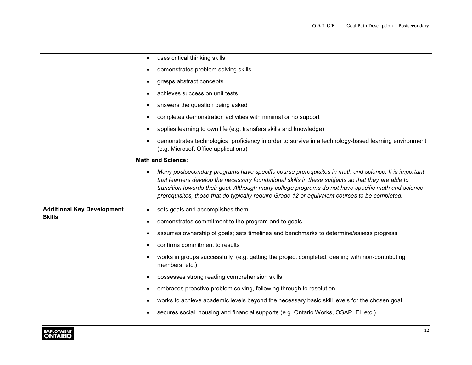|                                   | uses critical thinking skills<br>$\bullet$                                                                                                                                                                                                                                                                                                                                                                                      |
|-----------------------------------|---------------------------------------------------------------------------------------------------------------------------------------------------------------------------------------------------------------------------------------------------------------------------------------------------------------------------------------------------------------------------------------------------------------------------------|
|                                   | demonstrates problem solving skills<br>$\bullet$                                                                                                                                                                                                                                                                                                                                                                                |
|                                   | grasps abstract concepts<br>$\bullet$                                                                                                                                                                                                                                                                                                                                                                                           |
|                                   | achieves success on unit tests<br>٠                                                                                                                                                                                                                                                                                                                                                                                             |
|                                   | answers the question being asked<br>$\bullet$                                                                                                                                                                                                                                                                                                                                                                                   |
|                                   | completes demonstration activities with minimal or no support<br>$\bullet$                                                                                                                                                                                                                                                                                                                                                      |
|                                   | applies learning to own life (e.g. transfers skills and knowledge)<br>٠                                                                                                                                                                                                                                                                                                                                                         |
|                                   | demonstrates technological proficiency in order to survive in a technology-based learning environment<br>(e.g. Microsoft Office applications)                                                                                                                                                                                                                                                                                   |
|                                   | <b>Math and Science:</b>                                                                                                                                                                                                                                                                                                                                                                                                        |
|                                   | Many postsecondary programs have specific course prerequisites in math and science. It is important<br>$\bullet$<br>that learners develop the necessary foundational skills in these subjects so that they are able to<br>transition towards their goal. Although many college programs do not have specific math and science<br>prerequisites, those that do typically require Grade 12 or equivalent courses to be completed. |
| <b>Additional Key Development</b> | sets goals and accomplishes them<br>$\bullet$                                                                                                                                                                                                                                                                                                                                                                                   |
| <b>Skills</b>                     | demonstrates commitment to the program and to goals<br>$\bullet$                                                                                                                                                                                                                                                                                                                                                                |
|                                   | assumes ownership of goals; sets timelines and benchmarks to determine/assess progress<br>٠                                                                                                                                                                                                                                                                                                                                     |
|                                   | confirms commitment to results<br>٠                                                                                                                                                                                                                                                                                                                                                                                             |
|                                   | works in groups successfully (e.g. getting the project completed, dealing with non-contributing<br>$\bullet$<br>members, etc.)                                                                                                                                                                                                                                                                                                  |
|                                   | possesses strong reading comprehension skills<br>$\bullet$                                                                                                                                                                                                                                                                                                                                                                      |
|                                   | embraces proactive problem solving, following through to resolution<br>$\bullet$                                                                                                                                                                                                                                                                                                                                                |
|                                   | works to achieve academic levels beyond the necessary basic skill levels for the chosen goal                                                                                                                                                                                                                                                                                                                                    |
|                                   | secures social, housing and financial supports (e.g. Ontario Works, OSAP, EI, etc.)<br>٠                                                                                                                                                                                                                                                                                                                                        |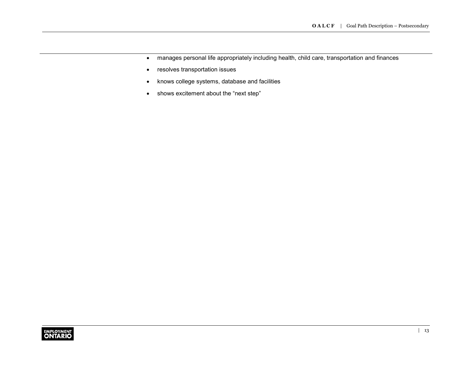- manages personal life appropriately including health, child care, transportation and finances
- resolves transportation issues
- knows college systems, database and facilities
- shows excitement about the "next step"